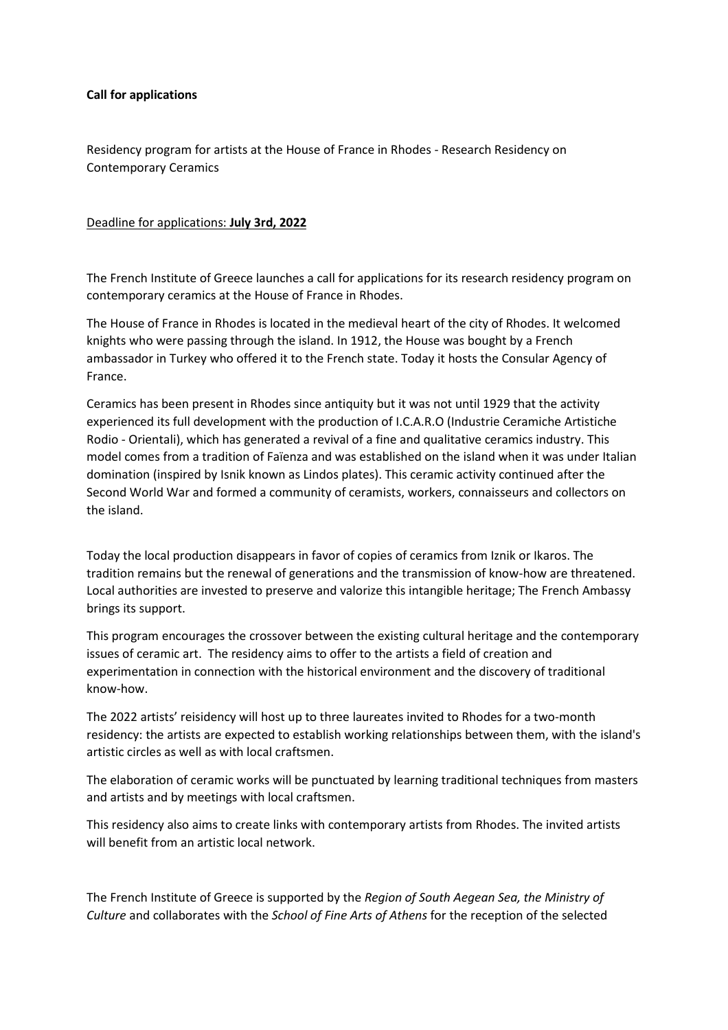### **Call for applications**

Residency program for artists at the House of France in Rhodes - Research Residency on Contemporary Ceramics

# Deadline for applications: **July 3rd, 2022**

The French Institute of Greece launches a call for applications for its research residency program on contemporary ceramics at the House of France in Rhodes.

The House of France in Rhodes is located in the medieval heart of the city of Rhodes. It welcomed knights who were passing through the island. In 1912, the House was bought by a French ambassador in Turkey who offered it to the French state. Today it hosts the Consular Agency of France.

Ceramics has been present in Rhodes since antiquity but it was not until 1929 that the activity experienced its full development with the production of I.C.A.R.O (Industrie Ceramiche Artistiche Rodio - Orientali), which has generated a revival of a fine and qualitative ceramics industry. This model comes from a tradition of Faïenza and was established on the island when it was under Italian domination (inspired by Isnik known as Lindos plates). This ceramic activity continued after the Second World War and formed a community of ceramists, workers, connaisseurs and collectors on the island.

Today the local production disappears in favor of copies of ceramics from Iznik or Ikaros. The tradition remains but the renewal of generations and the transmission of know-how are threatened. Local authorities are invested to preserve and valorize this intangible heritage; The French Ambassy brings its support.

This program encourages the crossover between the existing cultural heritage and the contemporary issues of ceramic art. The residency aims to offer to the artists a field of creation and experimentation in connection with the historical environment and the discovery of traditional know-how.

The 2022 artists' reisidency will host up to three laureates invited to Rhodes for a two-month residency: the artists are expected to establish working relationships between them, with the island's artistic circles as well as with local craftsmen.

The elaboration of ceramic works will be punctuated by learning traditional techniques from masters and artists and by meetings with local craftsmen.

This residency also aims to create links with contemporary artists from Rhodes. The invited artists will benefit from an artistic local network.

The French Institute of Greece is supported by the *Region of South Aegean Sea, the Ministry of Culture* and collaborates with the *School of Fine Arts of Athens* for the reception of the selected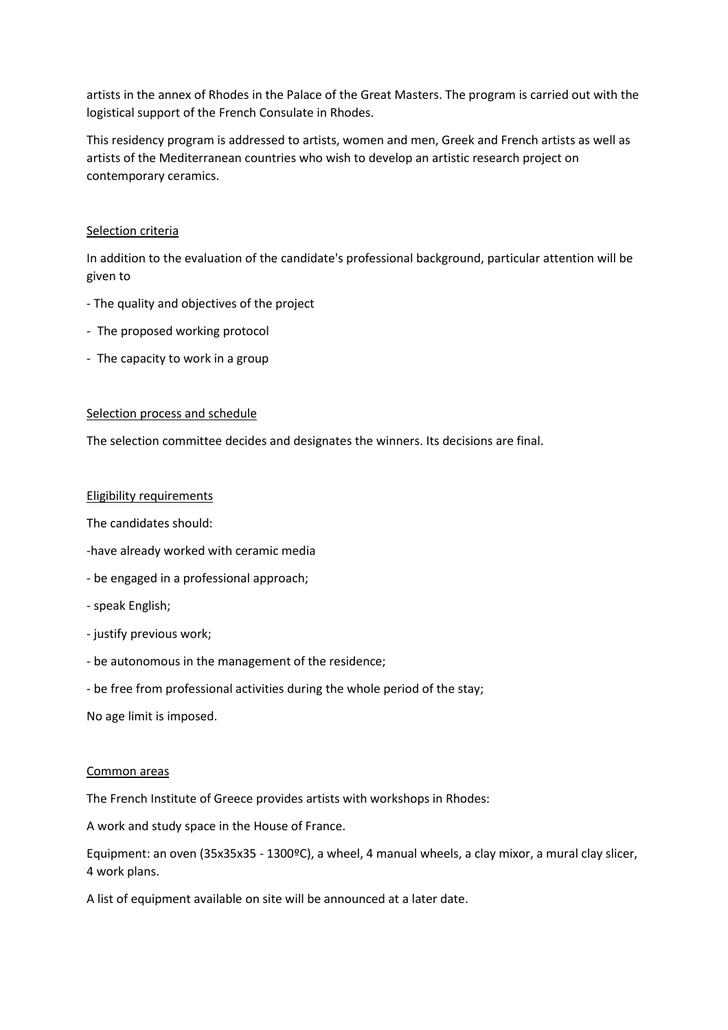artists in the annex of Rhodes in the Palace of the Great Masters. The program is carried out with the logistical support of the French Consulate in Rhodes.

This residency program is addressed to artists, women and men, Greek and French artists as well as artists of the Mediterranean countries who wish to develop an artistic research project on contemporary ceramics.

### Selection criteria

In addition to the evaluation of the candidate's professional background, particular attention will be given to

- The quality and objectives of the project
- The proposed working protocol
- The capacity to work in a group

#### Selection process and schedule

The selection committee decides and designates the winners. Its decisions are final.

#### Eligibility requirements

The candidates should:

- -have already worked with ceramic media
- be engaged in a professional approach;
- speak English;
- justify previous work;
- be autonomous in the management of the residence;
- be free from professional activities during the whole period of the stay;

No age limit is imposed.

#### Common areas

The French Institute of Greece provides artists with workshops in Rhodes:

A work and study space in the House of France.

Equipment: an oven (35x35x35 - 1300ºC), a wheel, 4 manual wheels, a clay mixor, a mural clay slicer, 4 work plans.

A list of equipment available on site will be announced at a later date.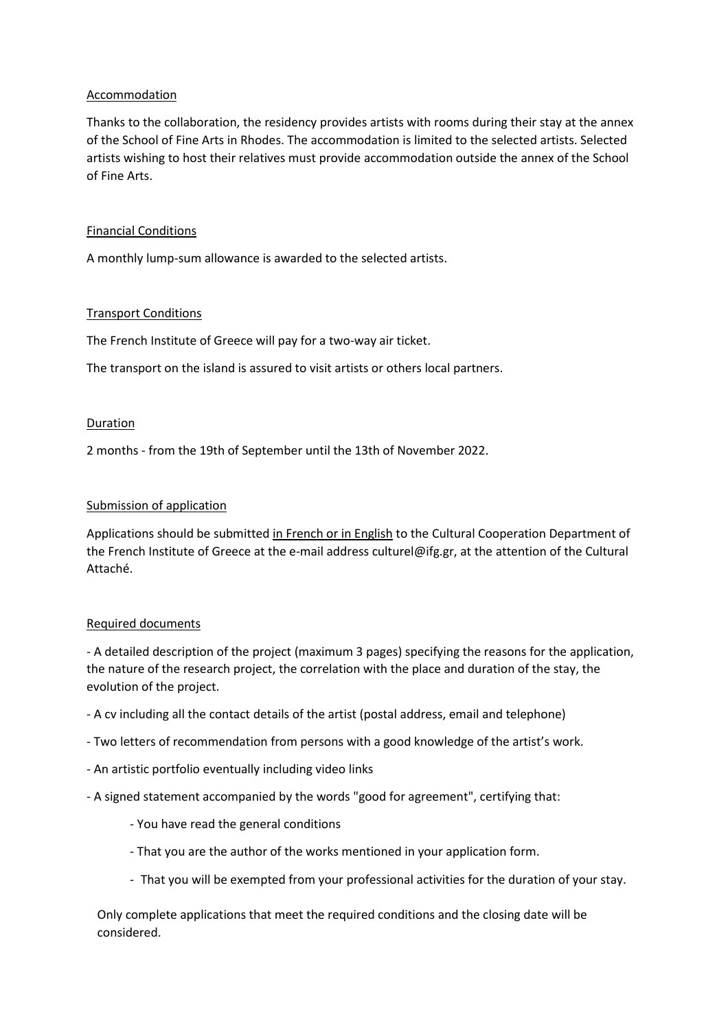# Accommodation

Thanks to the collaboration, the residency provides artists with rooms during their stay at the annex of the School of Fine Arts in Rhodes. The accommodation is limited to the selected artists. Selected artists wishing to host their relatives must provide accommodation outside the annex of the School of Fine Arts.

### Financial Conditions

A monthly lump-sum allowance is awarded to the selected artists.

# Transport Conditions

The French Institute of Greece will pay for a two-way air ticket.

The transport on the island is assured to visit artists or others local partners.

#### Duration

2 months - from the 19th of September until the 13th of November 2022.

# Submission of application

Applications should be submitted in French or in English to the Cultural Cooperation Department of the French Institute of Greece at the e-mail address culturel@ifg.gr, at the attention of the Cultural Attaché.

#### Required documents

- A detailed description of the project (maximum 3 pages) specifying the reasons for the application, the nature of the research project, the correlation with the place and duration of the stay, the evolution of the project.

- A cv including all the contact details of the artist (postal address, email and telephone)
- Two letters of recommendation from persons with a good knowledge of the artist's work.
- An artistic portfolio eventually including video links
- A signed statement accompanied by the words "good for agreement", certifying that:
	- You have read the general conditions
	- That you are the author of the works mentioned in your application form.
	- That you will be exempted from your professional activities for the duration of your stay.

Only complete applications that meet the required conditions and the closing date will be considered.